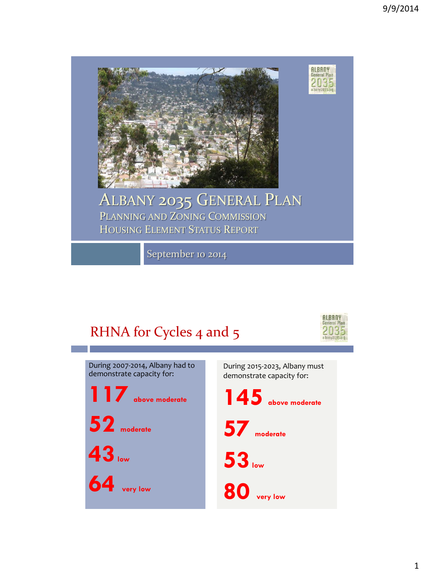

#### ALBANY 2035 GENERAL PLAN PLANNING AND ZONING COMMISSION HOUSING ELEMENT STATUS REPORT

September 10 2014

# RHNA for Cycles 4 and 5



**ALBANY**<br>General Plan

 $2035$ <br>albany2035.org

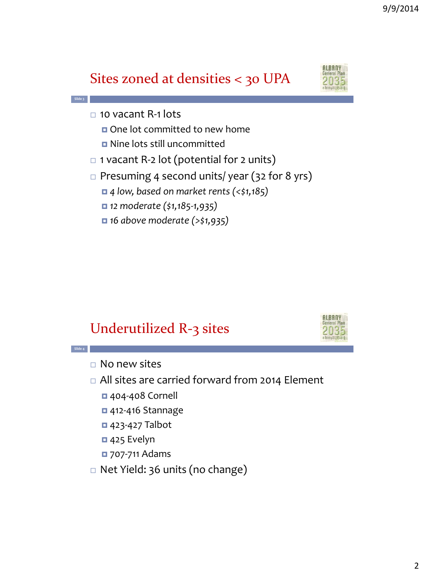# Sites zoned at densities < 30 UPA



 $\Box$  10 vacant R-1 lots One lot committed to new home Nine lots still uncommitted

**Slide 3**

- $\Box$  1 vacant R-2 lot (potential for 2 units)
- $\Box$  Presuming 4 second units/ year (32 for 8 yrs)
	- *4 low, based on market rents (<\$1,185)*
	- *12 moderate (\$1,185-1,935)*
	- *16 above moderate (>\$1,935)*

# Underutilized R-3 sites



 $\Box$  No new sites

**Slide 4**

- □ All sites are carried forward from 2014 Element
	- 404-408 Cornell
	- 412-416 Stannage
	- 423-427 Talbot
	- 425 Evelyn
	- 707-711 Adams
- □ Net Yield: 36 units (no change)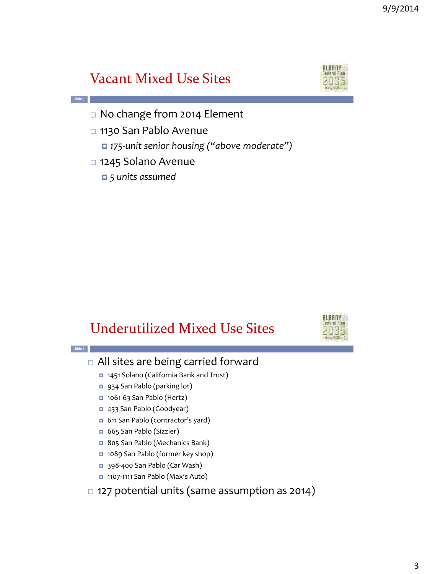# Vacant Mixed Use Sites



- □ No change from 2014 Element
- □ 1130 San Pablo Avenue
	- *175-unit senior housing ("above moderate")*
- 1245 Solano Avenue
	- *5 units assumed*

**Slide 5**

# Underutilized Mixed Use Sites



#### **Slide 6** All sites are being carried forward 1451 Solano (California Bank and Trust) 934 San Pablo (parking lot) ■ 1061-63 San Pablo (Hertz) 433 San Pablo (Goodyear) 611 San Pablo (contractor's yard) 665 San Pablo (Sizzler) 805 San Pablo (Mechanics Bank) 1089 San Pablo (former key shop) ■ 398-400 San Pablo (Car Wash) ■ 1107-1111 San Pablo (Max's Auto)  $\Box$  127 potential units (same assumption as 2014)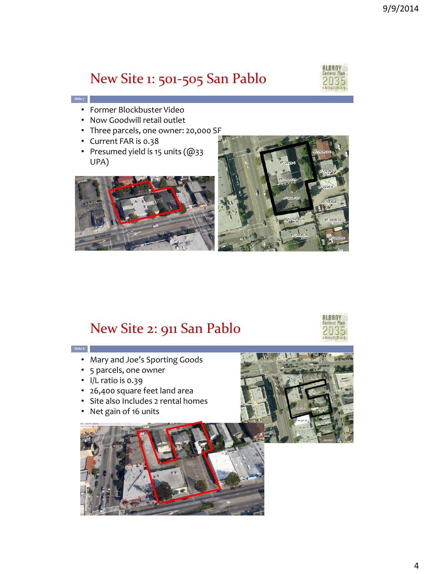## New Site 1: 501-505 San Pablo



- Former Blockbuster Video
- Now Goodwill retail outlet
- Three parcels, one owner: 20,000 SF
- Current FAR is 0.38

**Slide 7**

• Presumed yield is 15 units (@33 UPA)





#### New Site 2: 911 San Pablo



- Mary and Joe's Sporting Goods
- 5 parcels, one owner
- I/L ratio is 0.39
- 26,400 square feet land area
- Site also Includes 2 rental homes
- Net gain of 16 units



**ALBANY** 

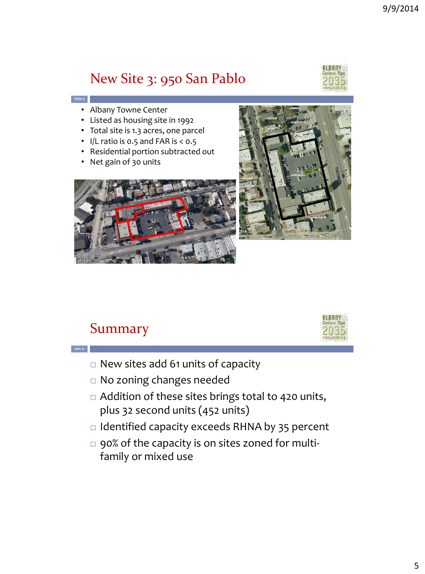# New Site 3: 950 San Pablo



• Albany Towne Center

**Slide 9**

- Listed as housing site in 1992
- Total site is 1.3 acres, one parcel
- I/L ratio is 0.5 and FAR is < 0.5
- Residential portion subtracted out
- Net gain of 30 units





### Summary

**Slide 10**



- New sites add 61 units of capacity
- No zoning changes needed
- □ Addition of these sites brings total to 420 units, plus 32 second units (452 units)
- $\Box$  Identified capacity exceeds RHNA by 35 percent
- □ 90% of the capacity is on sites zoned for multifamily or mixed use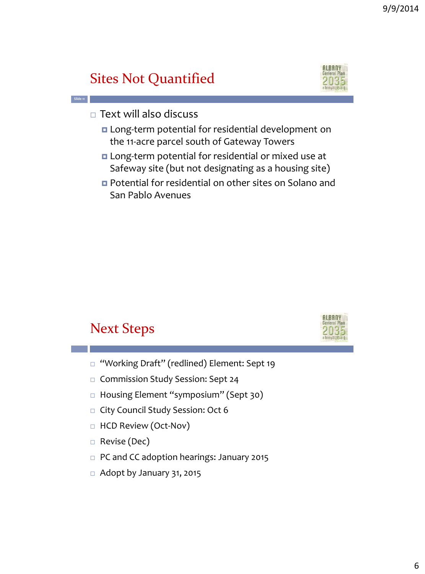# Sites Not Quantified



**ALBANY** 

 $\Box$  Text will also discuss

**Slide 11**

- **Long-term potential for residential development on** the 11-acre parcel south of Gateway Towers
- **n** Long-term potential for residential or mixed use at Safeway site (but not designating as a housing site)
- Potential for residential on other sites on Solano and San Pablo Avenues

## Next Steps

- □ "Working Draft" (redlined) Element: Sept 19
- Commission Study Session: Sept 24
- □ Housing Element "symposium" (Sept 30)
- □ City Council Study Session: Oct 6
- □ HCD Review (Oct-Nov)
- Revise (Dec)
- □ PC and CC adoption hearings: January 2015
- $\Box$  Adopt by January 31, 2015